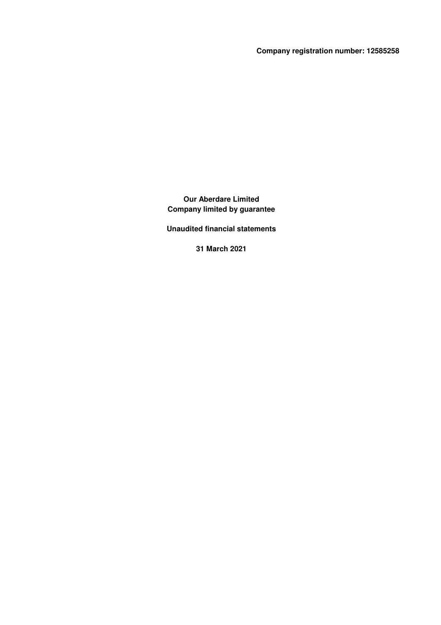**Company registration number: 12585258**

**Our Aberdare Limited Company limited by guarantee**

**Unaudited financial statements**

**31 March 2021**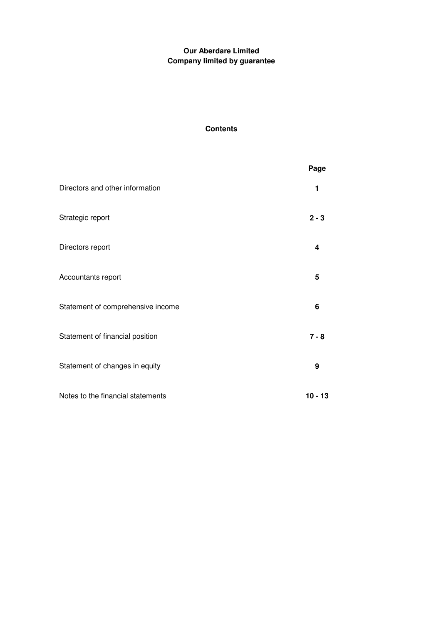# **Contents**

|                                   | Page      |
|-----------------------------------|-----------|
| Directors and other information   | 1         |
| Strategic report                  | $2 - 3$   |
| Directors report                  | 4         |
| Accountants report                | 5         |
| Statement of comprehensive income | 6         |
| Statement of financial position   | $7 - 8$   |
| Statement of changes in equity    | 9         |
| Notes to the financial statements | $10 - 13$ |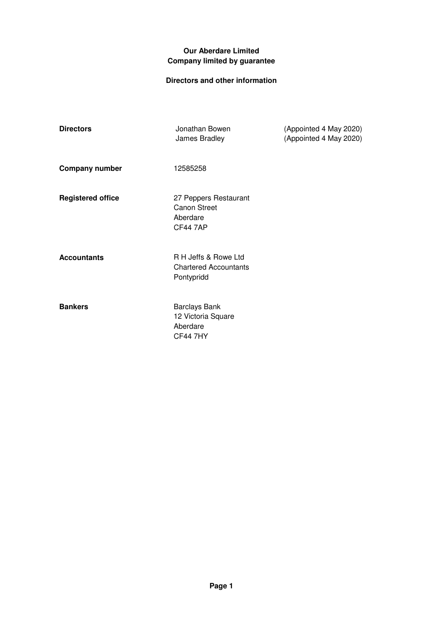# **Directors and other information**

| <b>Directors</b>         | Jonathan Bowen<br>James Bradley                                             | (Appointed 4 May 2020)<br>(Appointed 4 May 2020) |
|--------------------------|-----------------------------------------------------------------------------|--------------------------------------------------|
| <b>Company number</b>    | 12585258                                                                    |                                                  |
| <b>Registered office</b> | 27 Peppers Restaurant<br><b>Canon Street</b><br>Aberdare<br><b>CF44 7AP</b> |                                                  |
| <b>Accountants</b>       | R H Jeffs & Rowe Ltd<br><b>Chartered Accountants</b><br>Pontypridd          |                                                  |
| <b>Bankers</b>           | <b>Barclays Bank</b><br>12 Victoria Square<br>Aberdare<br><b>CF44 7HY</b>   |                                                  |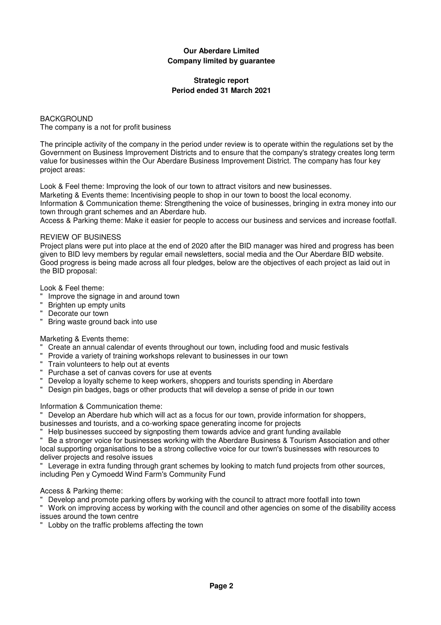### **Strategic report Period ended 31 March 2021**

BACKGROUND The company is a not for profit business

The principle activity of the company in the period under review is to operate within the regulations set by the Government on Business Improvement Districts and to ensure that the company's strategy creates long term value for businesses within the Our Aberdare Business Improvement District. The company has four key project areas:

Look & Feel theme: Improving the look of our town to attract visitors and new businesses. Marketing & Events theme: Incentivising people to shop in our town to boost the local economy.

Information & Communication theme: Strengthening the voice of businesses, bringing in extra money into our town through grant schemes and an Aberdare hub.

Access & Parking theme: Make it easier for people to access our business and services and increase footfall.

### REVIEW OF BUSINESS

Project plans were put into place at the end of 2020 after the BID manager was hired and progress has been given to BID levy members by regular email newsletters, social media and the Our Aberdare BID website. Good progress is being made across all four pledges, below are the objectives of each project as laid out in the BID proposal:

Look & Feel theme:

- " Improve the signage in and around town
- Brighten up empty units
- Decorate our town
- " Bring waste ground back into use

### Marketing & Events theme:

- Create an annual calendar of events throughout our town, including food and music festivals
- Provide a variety of training workshops relevant to businesses in our town
- " Train volunteers to help out at events
- " Purchase a set of canvas covers for use at events
- " Develop a loyalty scheme to keep workers, shoppers and tourists spending in Aberdare
- " Design pin badges, bags or other products that will develop a sense of pride in our town

Information & Communication theme:

" Develop an Aberdare hub which will act as a focus for our town, provide information for shoppers, businesses and tourists, and a co-working space generating income for projects

" Help businesses succeed by signposting them towards advice and grant funding available

" Be a stronger voice for businesses working with the Aberdare Business & Tourism Association and other local supporting organisations to be a strong collective voice for our town's businesses with resources to deliver projects and resolve issues

" Leverage in extra funding through grant schemes by looking to match fund projects from other sources, including Pen y Cymoedd Wind Farm's Community Fund

Access & Parking theme:

" Develop and promote parking offers by working with the council to attract more footfall into town

" Work on improving access by working with the council and other agencies on some of the disability access issues around the town centre

Lobby on the traffic problems affecting the town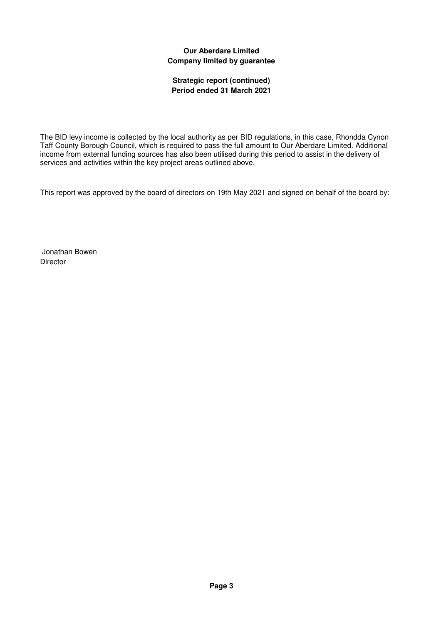### **Strategic report (continued) Period ended 31 March 2021**

The BID levy income is collected by the local authority as per BID regulations, in this case, Rhondda Cynon Taff County Borough Council, which is required to pass the full amount to Our Aberdare Limited. Additional income from external funding sources has also been utilised during this period to assist in the delivery of services and activities within the key project areas outlined above.

This report was approved by the board of directors on 19th May 2021 and signed on behalf of the board by:

 Jonathan Bowen Director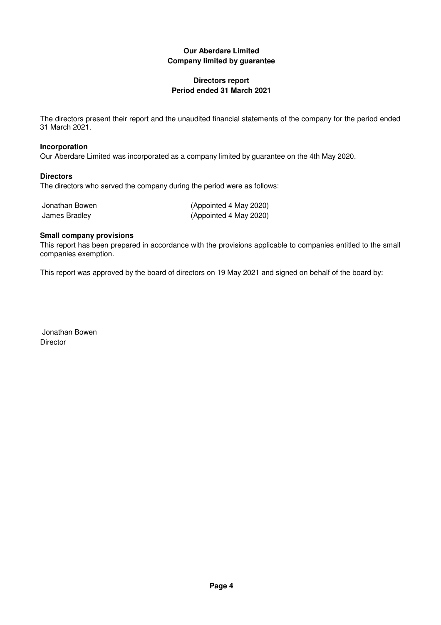### **Directors report Period ended 31 March 2021**

The directors present their report and the unaudited financial statements of the company for the period ended 31 March 2021.

### **Incorporation**

Our Aberdare Limited was incorporated as a company limited by guarantee on the 4th May 2020.

### **Directors**

The directors who served the company during the period were as follows:

| Jonathan Bowen |  |
|----------------|--|
| James Bradley  |  |

(Appointed 4 May 2020) (Appointed 4 May 2020)

#### **Small company provisions**

This report has been prepared in accordance with the provisions applicable to companies entitled to the small companies exemption.

This report was approved by the board of directors on 19 May 2021 and signed on behalf of the board by:

 Jonathan Bowen **Director**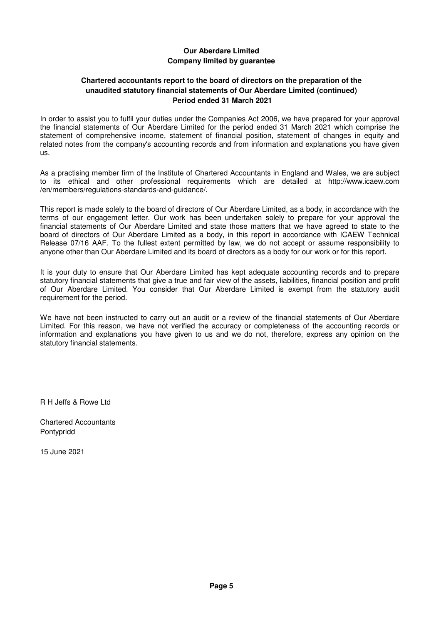### **Chartered accountants report to the board of directors on the preparation of the unaudited statutory financial statements of Our Aberdare Limited (continued) Period ended 31 March 2021**

In order to assist you to fulfil your duties under the Companies Act 2006, we have prepared for your approval the financial statements of Our Aberdare Limited for the period ended 31 March 2021 which comprise the statement of comprehensive income, statement of financial position, statement of changes in equity and related notes from the company's accounting records and from information and explanations you have given us.

As a practising member firm of the Institute of Chartered Accountants in England and Wales, we are subject to its ethical and other professional requirements which are detailed at http://www.icaew.com /en/members/regulations-standards-and-guidance/.

This report is made solely to the board of directors of Our Aberdare Limited, as a body, in accordance with the terms of our engagement letter. Our work has been undertaken solely to prepare for your approval the financial statements of Our Aberdare Limited and state those matters that we have agreed to state to the board of directors of Our Aberdare Limited as a body, in this report in accordance with ICAEW Technical Release 07/16 AAF. To the fullest extent permitted by law, we do not accept or assume responsibility to anyone other than Our Aberdare Limited and its board of directors as a body for our work or for this report.

It is your duty to ensure that Our Aberdare Limited has kept adequate accounting records and to prepare statutory financial statements that give a true and fair view of the assets, liabilities, financial position and profit of Our Aberdare Limited. You consider that Our Aberdare Limited is exempt from the statutory audit requirement for the period.

We have not been instructed to carry out an audit or a review of the financial statements of Our Aberdare Limited. For this reason, we have not verified the accuracy or completeness of the accounting records or information and explanations you have given to us and we do not, therefore, express any opinion on the statutory financial statements.

R H Jeffs & Rowe Ltd

Chartered Accountants Pontypridd

15 June 2021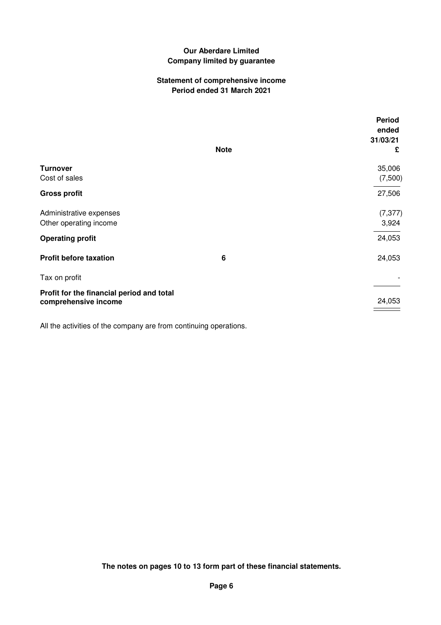### **Statement of comprehensive income Period ended 31 March 2021**

|                                                                   |             | <b>Period</b><br>ended<br>31/03/21 |
|-------------------------------------------------------------------|-------------|------------------------------------|
|                                                                   | <b>Note</b> | £                                  |
| <b>Turnover</b><br>Cost of sales                                  |             | 35,006<br>(7,500)                  |
| <b>Gross profit</b>                                               |             | 27,506                             |
| Administrative expenses<br>Other operating income                 |             | (7, 377)<br>3,924                  |
| <b>Operating profit</b>                                           |             | 24,053                             |
| <b>Profit before taxation</b>                                     | 6           | 24,053                             |
| Tax on profit                                                     |             |                                    |
| Profit for the financial period and total<br>comprehensive income |             | 24,053                             |

All the activities of the company are from continuing operations.

**The notes on pages 10 to 13 form part of these financial statements.**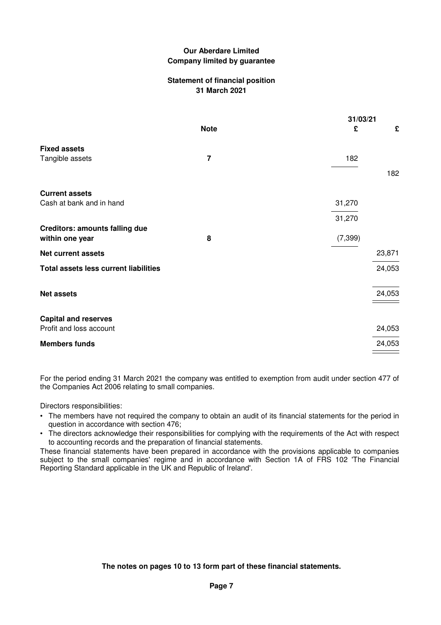### **Statement of financial position 31 March 2021**

|                                                          |                | 31/03/21 |        |
|----------------------------------------------------------|----------------|----------|--------|
|                                                          | <b>Note</b>    | £        | £      |
| <b>Fixed assets</b><br>Tangible assets                   | $\overline{7}$ | 182      |        |
|                                                          |                |          | 182    |
| <b>Current assets</b>                                    |                |          |        |
| Cash at bank and in hand                                 |                | 31,270   |        |
|                                                          |                | 31,270   |        |
| <b>Creditors: amounts falling due</b><br>within one year | 8              | (7, 399) |        |
| <b>Net current assets</b>                                |                |          | 23,871 |
| <b>Total assets less current liabilities</b>             |                |          | 24,053 |
| <b>Net assets</b>                                        |                |          | 24,053 |
| <b>Capital and reserves</b><br>Profit and loss account   |                |          | 24,053 |
| <b>Members funds</b>                                     |                |          | 24,053 |

For the period ending 31 March 2021 the company was entitled to exemption from audit under section 477 of the Companies Act 2006 relating to small companies.

Directors responsibilities:

- The members have not required the company to obtain an audit of its financial statements for the period in question in accordance with section 476;
- The directors acknowledge their responsibilities for complying with the requirements of the Act with respect to accounting records and the preparation of financial statements.

These financial statements have been prepared in accordance with the provisions applicable to companies subject to the small companies' regime and in accordance with Section 1A of FRS 102 'The Financial Reporting Standard applicable in the UK and Republic of Ireland'.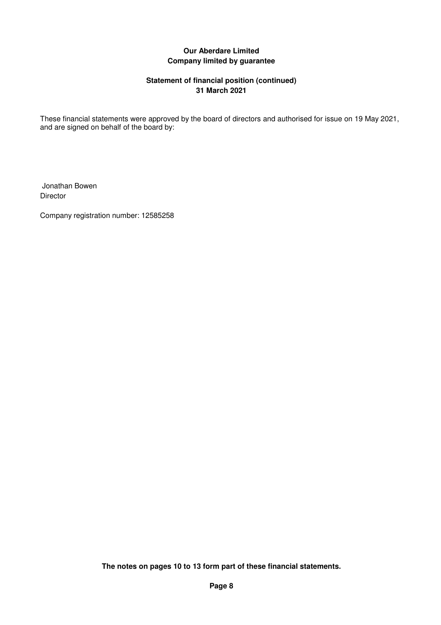### **Statement of financial position (continued) 31 March 2021**

These financial statements were approved by the board of directors and authorised for issue on 19 May 2021, and are signed on behalf of the board by:

 Jonathan Bowen Director

Company registration number: 12585258

**The notes on pages 10 to 13 form part of these financial statements.**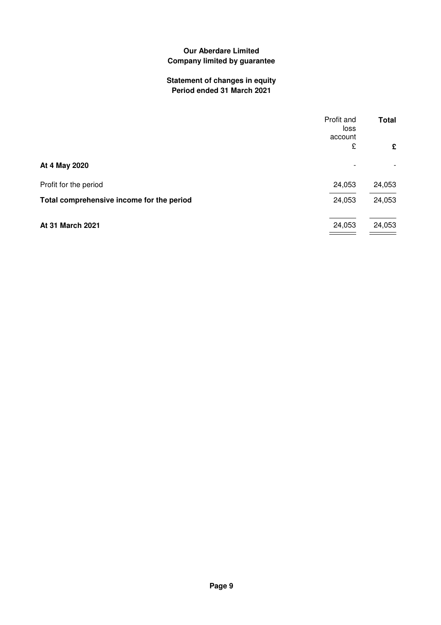# **Statement of changes in equity Period ended 31 March 2021**

|                                           | Profit and<br>loss<br>account | <b>Total</b> |
|-------------------------------------------|-------------------------------|--------------|
|                                           | £                             | £            |
| At 4 May 2020                             |                               |              |
| Profit for the period                     | 24,053                        | 24,053       |
| Total comprehensive income for the period | 24,053                        | 24,053       |
| At 31 March 2021                          | 24,053                        | 24,053       |
|                                           |                               |              |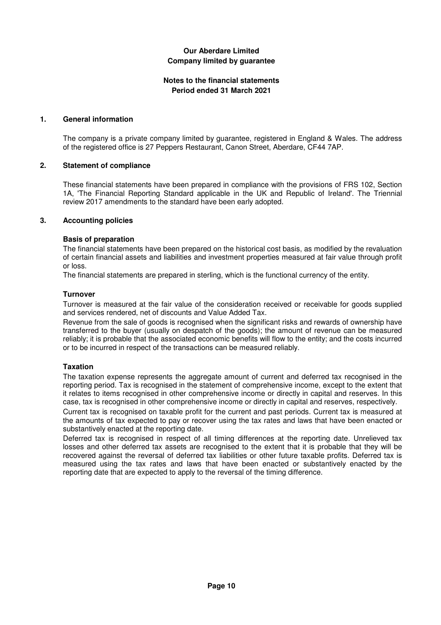### **Notes to the financial statements Period ended 31 March 2021**

### **1. General information**

The company is a private company limited by guarantee, registered in England & Wales. The address of the registered office is 27 Peppers Restaurant, Canon Street, Aberdare, CF44 7AP.

#### **2. Statement of compliance**

These financial statements have been prepared in compliance with the provisions of FRS 102, Section 1A, 'The Financial Reporting Standard applicable in the UK and Republic of Ireland'. The Triennial review 2017 amendments to the standard have been early adopted.

#### **3. Accounting policies**

#### **Basis of preparation**

The financial statements have been prepared on the historical cost basis, as modified by the revaluation of certain financial assets and liabilities and investment properties measured at fair value through profit or loss.

The financial statements are prepared in sterling, which is the functional currency of the entity.

#### **Turnover**

Turnover is measured at the fair value of the consideration received or receivable for goods supplied and services rendered, net of discounts and Value Added Tax.

Revenue from the sale of goods is recognised when the significant risks and rewards of ownership have transferred to the buyer (usually on despatch of the goods); the amount of revenue can be measured reliably; it is probable that the associated economic benefits will flow to the entity; and the costs incurred or to be incurred in respect of the transactions can be measured reliably.

#### **Taxation**

The taxation expense represents the aggregate amount of current and deferred tax recognised in the reporting period. Tax is recognised in the statement of comprehensive income, except to the extent that it relates to items recognised in other comprehensive income or directly in capital and reserves. In this case, tax is recognised in other comprehensive income or directly in capital and reserves, respectively.

Current tax is recognised on taxable profit for the current and past periods. Current tax is measured at the amounts of tax expected to pay or recover using the tax rates and laws that have been enacted or substantively enacted at the reporting date.

Deferred tax is recognised in respect of all timing differences at the reporting date. Unrelieved tax losses and other deferred tax assets are recognised to the extent that it is probable that they will be recovered against the reversal of deferred tax liabilities or other future taxable profits. Deferred tax is measured using the tax rates and laws that have been enacted or substantively enacted by the reporting date that are expected to apply to the reversal of the timing difference.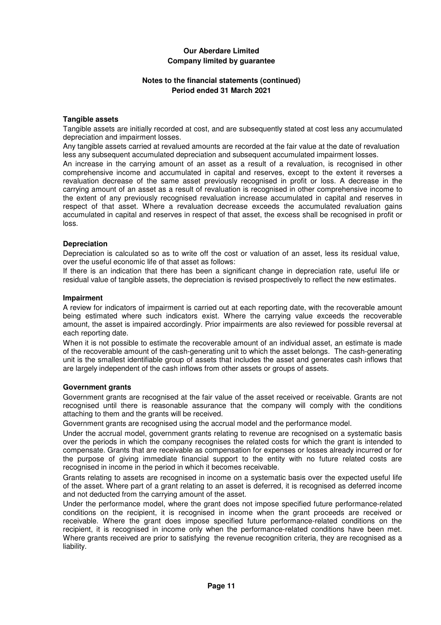### **Notes to the financial statements (continued) Period ended 31 March 2021**

#### **Tangible assets**

Tangible assets are initially recorded at cost, and are subsequently stated at cost less any accumulated depreciation and impairment losses.

Any tangible assets carried at revalued amounts are recorded at the fair value at the date of revaluation less any subsequent accumulated depreciation and subsequent accumulated impairment losses.

An increase in the carrying amount of an asset as a result of a revaluation, is recognised in other comprehensive income and accumulated in capital and reserves, except to the extent it reverses a revaluation decrease of the same asset previously recognised in profit or loss. A decrease in the carrying amount of an asset as a result of revaluation is recognised in other comprehensive income to the extent of any previously recognised revaluation increase accumulated in capital and reserves in respect of that asset. Where a revaluation decrease exceeds the accumulated revaluation gains accumulated in capital and reserves in respect of that asset, the excess shall be recognised in profit or loss.

#### **Depreciation**

Depreciation is calculated so as to write off the cost or valuation of an asset, less its residual value, over the useful economic life of that asset as follows:

If there is an indication that there has been a significant change in depreciation rate, useful life or residual value of tangible assets, the depreciation is revised prospectively to reflect the new estimates.

#### **Impairment**

A review for indicators of impairment is carried out at each reporting date, with the recoverable amount being estimated where such indicators exist. Where the carrying value exceeds the recoverable amount, the asset is impaired accordingly. Prior impairments are also reviewed for possible reversal at each reporting date.

When it is not possible to estimate the recoverable amount of an individual asset, an estimate is made of the recoverable amount of the cash-generating unit to which the asset belongs. The cash-generating unit is the smallest identifiable group of assets that includes the asset and generates cash inflows that are largely independent of the cash inflows from other assets or groups of assets.

#### **Government grants**

Government grants are recognised at the fair value of the asset received or receivable. Grants are not recognised until there is reasonable assurance that the company will comply with the conditions attaching to them and the grants will be received.

Government grants are recognised using the accrual model and the performance model.

Under the accrual model, government grants relating to revenue are recognised on a systematic basis over the periods in which the company recognises the related costs for which the grant is intended to compensate. Grants that are receivable as compensation for expenses or losses already incurred or for the purpose of giving immediate financial support to the entity with no future related costs are recognised in income in the period in which it becomes receivable.

Grants relating to assets are recognised in income on a systematic basis over the expected useful life of the asset. Where part of a grant relating to an asset is deferred, it is recognised as deferred income and not deducted from the carrying amount of the asset.

Under the performance model, where the grant does not impose specified future performance-related conditions on the recipient, it is recognised in income when the grant proceeds are received or receivable. Where the grant does impose specified future performance-related conditions on the recipient, it is recognised in income only when the performance-related conditions have been met. Where grants received are prior to satisfying the revenue recognition criteria, they are recognised as a liability.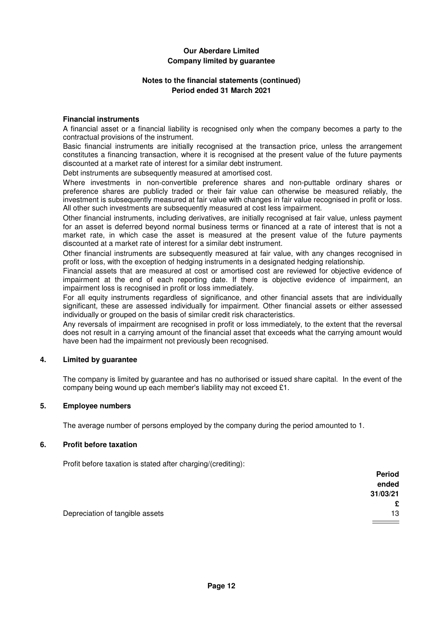### **Notes to the financial statements (continued) Period ended 31 March 2021**

#### **Financial instruments**

A financial asset or a financial liability is recognised only when the company becomes a party to the contractual provisions of the instrument.

Basic financial instruments are initially recognised at the transaction price, unless the arrangement constitutes a financing transaction, where it is recognised at the present value of the future payments discounted at a market rate of interest for a similar debt instrument.

Debt instruments are subsequently measured at amortised cost.

Where investments in non-convertible preference shares and non-puttable ordinary shares or preference shares are publicly traded or their fair value can otherwise be measured reliably, the investment is subsequently measured at fair value with changes in fair value recognised in profit or loss. All other such investments are subsequently measured at cost less impairment.

Other financial instruments, including derivatives, are initially recognised at fair value, unless payment for an asset is deferred beyond normal business terms or financed at a rate of interest that is not a market rate, in which case the asset is measured at the present value of the future payments discounted at a market rate of interest for a similar debt instrument.

Other financial instruments are subsequently measured at fair value, with any changes recognised in profit or loss, with the exception of hedging instruments in a designated hedging relationship.

Financial assets that are measured at cost or amortised cost are reviewed for objective evidence of impairment at the end of each reporting date. If there is objective evidence of impairment, an impairment loss is recognised in profit or loss immediately.

For all equity instruments regardless of significance, and other financial assets that are individually significant, these are assessed individually for impairment. Other financial assets or either assessed individually or grouped on the basis of similar credit risk characteristics.

Any reversals of impairment are recognised in profit or loss immediately, to the extent that the reversal does not result in a carrying amount of the financial asset that exceeds what the carrying amount would have been had the impairment not previously been recognised.

### **4. Limited by guarantee**

The company is limited by guarantee and has no authorised or issued share capital. In the event of the company being wound up each member's liability may not exceed £1.

#### **5. Employee numbers**

The average number of persons employed by the company during the period amounted to 1.

#### **6. Profit before taxation**

Profit before taxation is stated after charging/(crediting):

|                                 | <b>Period</b> |
|---------------------------------|---------------|
|                                 | ended         |
|                                 | 31/03/21      |
|                                 | £             |
| Depreciation of tangible assets | 13            |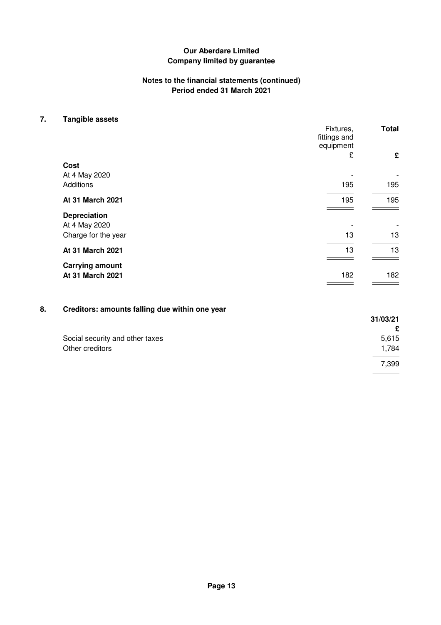### **Notes to the financial statements (continued) Period ended 31 March 2021**

### **7. Tangible assets**

|                            | Fixtures,<br>fittings and | <b>Total</b> |
|----------------------------|---------------------------|--------------|
|                            | equipment                 |              |
|                            | £                         | £            |
| Cost                       |                           |              |
| At 4 May 2020<br>Additions | 195                       | 195          |
| At 31 March 2021           | 195                       | 195          |
| <b>Depreciation</b>        |                           |              |
| At 4 May 2020              |                           |              |
| Charge for the year        | 13                        | 13           |
| At 31 March 2021           | 13                        | 13           |
| <b>Carrying amount</b>     |                           |              |
| At 31 March 2021           | 182                       | 182          |

# **8. Creditors: amounts falling due within one year**

|                                 | 31/03/21 |
|---------------------------------|----------|
|                                 | £        |
| Social security and other taxes | 5,615    |
| Other creditors                 | 1,784    |
|                                 | 7,399    |
|                                 |          |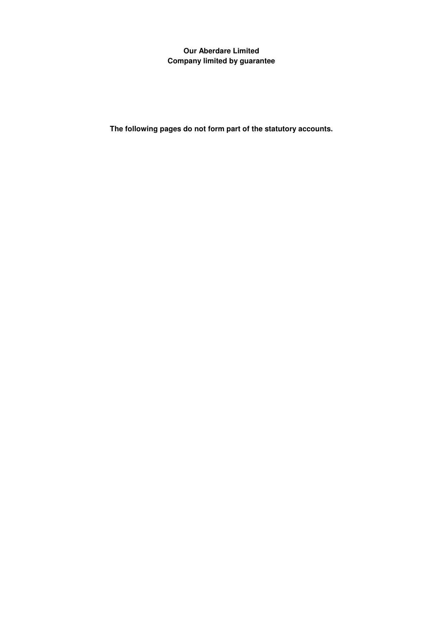**The following pages do not form part of the statutory accounts.**